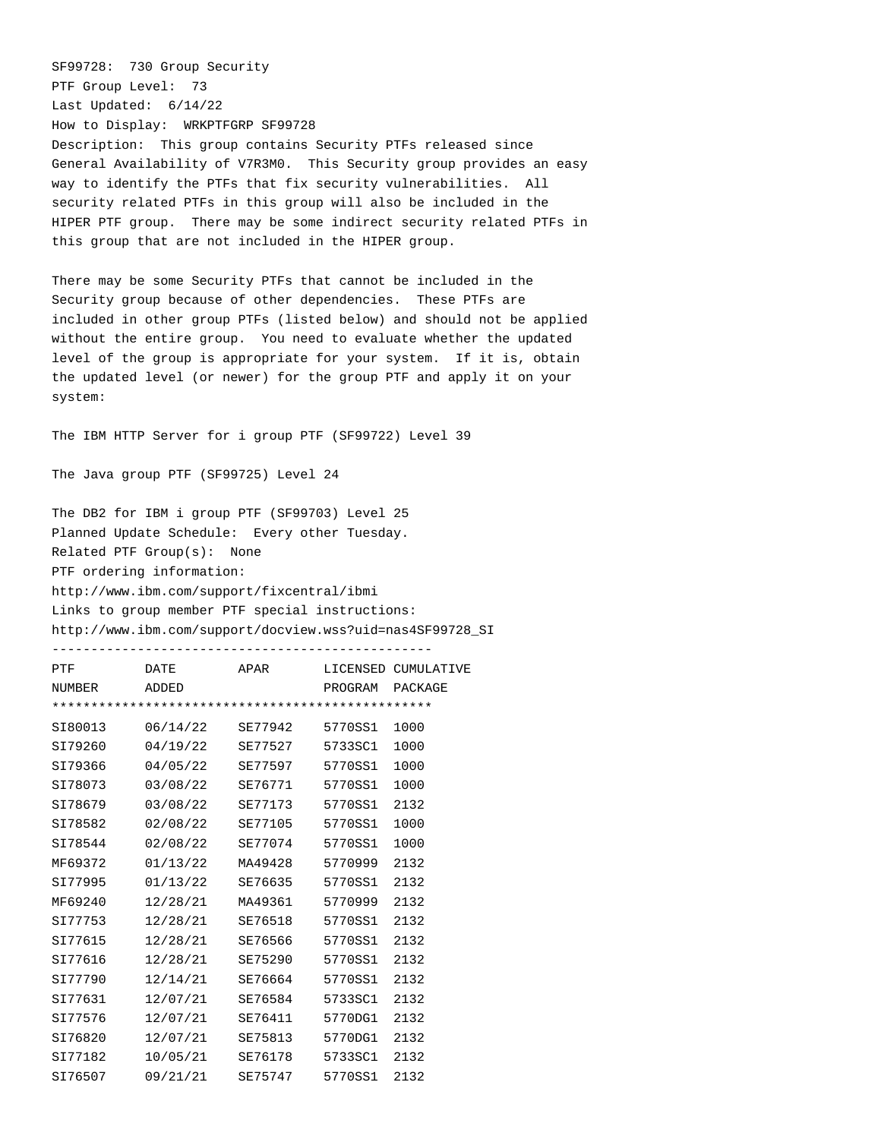SF99728: 730 Group Security PTF Group Level: 73 Last Updated: 6/14/22 How to Display: WRKPTFGRP SF99728 Description: This group contains Security PTFs released since General Availability of V7R3M0. This Security group provides an easy way to identify the PTFs that fix security vulnerabilities. All security related PTFs in this group will also be included in the HIPER PTF group. There may be some indirect security related PTFs in this group that are not included in the HIPER group.

There may be some Security PTFs that cannot be included in the Security group because of other dependencies. These PTFs are included in other group PTFs (listed below) and should not be applied without the entire group. You need to evaluate whether the updated level of the group is appropriate for your system. If it is, obtain the updated level (or newer) for the group PTF and apply it on your system:

The IBM HTTP Server for i group PTF (SF99722) Level 39

The Java group PTF (SF99725) Level 24

| The DB2 for IBM i group PTF (SF99703) Level 25            |
|-----------------------------------------------------------|
| Planned Update Schedule: Every other Tuesday.             |
| $Related$ PTF $Group(s):$ None                            |
| PTF ordering information:                                 |
| http://www.ibm.com/support/fixcentral/ibmi                |
| Links to group member PTF special instructions:           |
| http://www.ibm.com/support/docview.wss?uid=nas4SF99728_SI |
|                                                           |

| PTF     | <b>DATE</b> | APAR    |         | LICENSED CUMULATIVE |  |
|---------|-------------|---------|---------|---------------------|--|
| NUMBER  | ADDED       |         | PROGRAM | PACKAGE             |  |
|         |             |         |         |                     |  |
| SI80013 | 06/14/22    | SE77942 | 5770SS1 | 1000                |  |
| SI79260 | 04/19/22    | SE77527 | 5733SC1 | 1000                |  |
| SI79366 | 04/05/22    | SE77597 | 5770SS1 | 1000                |  |
| SI78073 | 03/08/22    | SE76771 | 5770SS1 | 1000                |  |
| SI78679 | 03/08/22    | SE77173 | 5770SS1 | 2132                |  |
| SI78582 | 02/08/22    | SE77105 | 5770SS1 | 1000                |  |
| SI78544 | 02/08/22    | SE77074 | 5770SS1 | 1000                |  |
| MF69372 | 01/13/22    | MA49428 | 5770999 | 2132                |  |
| SI77995 | 01/13/22    | SE76635 | 5770SS1 | 2132                |  |
| MF69240 | 12/28/21    | MA49361 | 5770999 | 2132                |  |
| SI77753 | 12/28/21    | SE76518 | 5770SS1 | 2132                |  |
| SI77615 | 12/28/21    | SE76566 | 5770SS1 | 2132                |  |
| SI77616 | 12/28/21    | SE75290 | 5770SS1 | 2132                |  |
| SI77790 | 12/14/21    | SE76664 | 5770SS1 | 2132                |  |
| SI77631 | 12/07/21    | SE76584 | 5733SC1 | 2132                |  |
| SI77576 | 12/07/21    | SE76411 | 5770DG1 | 2132                |  |
| SI76820 | 12/07/21    | SE75813 | 5770DG1 | 2132                |  |
| SI77182 | 10/05/21    | SE76178 | 5733SC1 | 2132                |  |
| SI76507 | 09/21/21    | SE75747 | 5770SS1 | 2132                |  |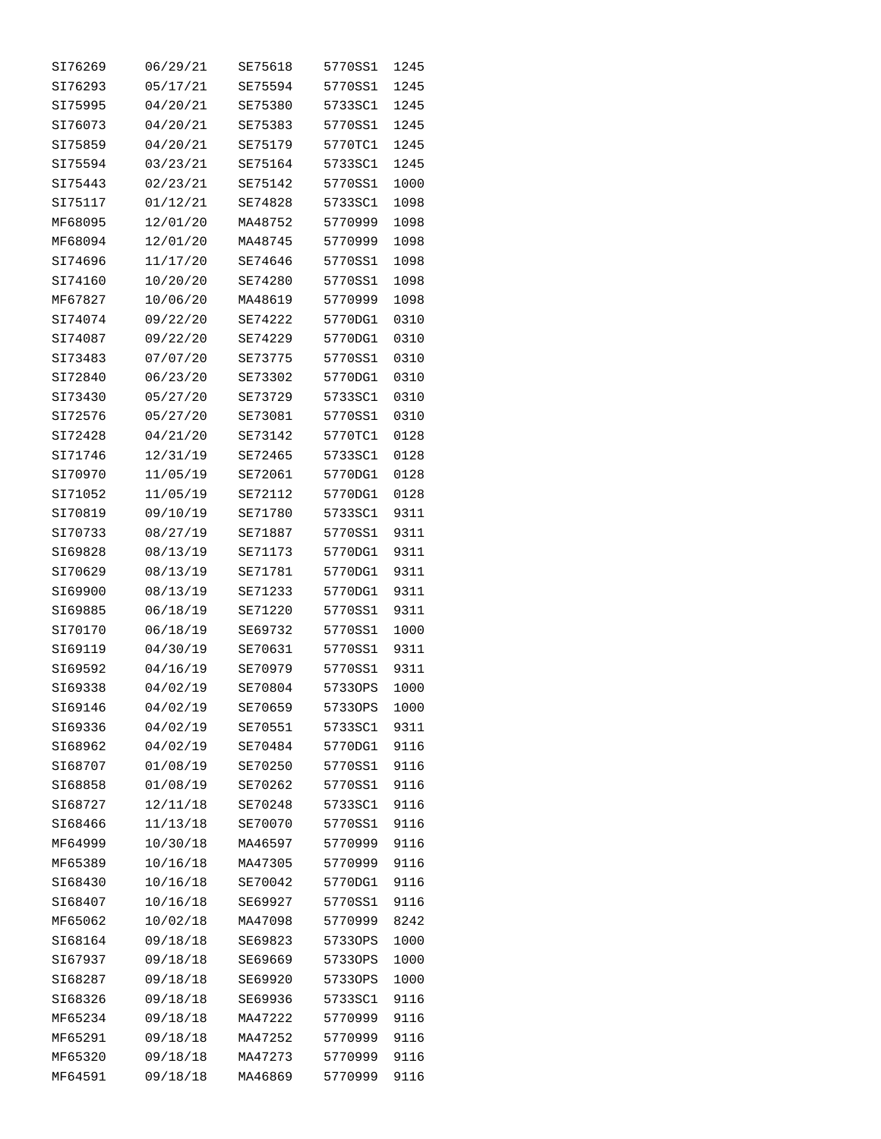| SI76269            | 06/29/21             | SE75618            | 5770SS1            | 1245         |
|--------------------|----------------------|--------------------|--------------------|--------------|
| SI76293            | 05/17/21             | SE75594            | 5770SS1            | 1245         |
| SI75995            | 04/20/21             | SE75380            | 5733SC1            | 1245         |
| SI76073            | 04/20/21             | SE75383            | 5770SS1            | 1245         |
| SI75859            | 04/20/21             | SE75179            | 5770TC1            | 1245         |
| SI75594            | 03/23/21             | SE75164            | 5733SC1            | 1245         |
| SI75443            | 02/23/21             | SE75142            | 5770SS1            | 1000         |
| SI75117            | 01/12/21             | SE74828            | 5733SC1            | 1098         |
| MF68095            | 12/01/20             | MA48752            | 5770999            | 1098         |
| MF68094            | 12/01/20             | MA48745            | 5770999            | 1098         |
| SI74696            | 11/17/20             | SE74646            | 5770SS1            | 1098         |
| SI74160            | 10/20/20             | SE74280            | 5770SS1            | 1098         |
| MF67827            | 10/06/20             | MA48619            | 5770999            | 1098         |
| SI74074            | 09/22/20             | SE74222            | 5770DG1            | 0310         |
| SI74087            | 09/22/20             | SE74229            | 5770DG1            | 0310         |
| SI73483            | 07/07/20             | SE73775            | 5770SS1            | 0310         |
| SI72840            | 06/23/20             | SE73302            | 5770DG1            | 0310         |
| SI73430            | 05/27/20             | SE73729            | 5733SC1            | 0310         |
| SI72576            | 05/27/20             | SE73081            | 5770SS1            | 0310         |
| SI72428            |                      |                    | 5770TC1            | 0128         |
|                    | 04/21/20             | SE73142            |                    |              |
| SI71746            | 12/31/19             | SE72465            | 5733SC1            | 0128<br>0128 |
| SI70970            | 11/05/19             | SE72061            | 5770DG1            |              |
| SI71052            | 11/05/19             | SE72112            | 5770DG1            | 0128         |
| SI70819            | 09/10/19             | SE71780            | 5733SC1            | 9311         |
| SI70733<br>SI69828 | 08/27/19             | SE71887            | 5770SS1<br>5770DG1 | 9311         |
| SI70629            | 08/13/19<br>08/13/19 | SE71173<br>SE71781 | 5770DG1            | 9311<br>9311 |
| SI69900            | 08/13/19             | SE71233            | 5770DG1            | 9311         |
| SI69885            | 06/18/19             | SE71220            | 5770SS1            | 9311         |
| SI70170            | 06/18/19             | SE69732            | 5770SS1            | 1000         |
| SI69119            |                      | SE70631            | 5770SS1            | 9311         |
| SI69592            | 04/30/19             |                    | 5770SS1            | 9311         |
|                    | 04/16/19             | SE70979<br>SE70804 |                    |              |
| SI69338            | 04/02/19             |                    | 57330PS            | 1000         |
| SI69146            | 04/02/19             | SE70659            | 57330PS            | 1000         |
| SI69336            | 04/02/19             | SE70551<br>SE70484 | 5733SC1<br>5770DG1 | 9311         |
| SI68962            | 04/02/19             |                    |                    | 9116         |
| SI68707            | 01/08/19             | SE70250            | 5770SS1            | 9116         |
| SI68858            | 01/08/19             | SE70262            | 5770SS1            | 9116         |
| SI68727            | 12/11/18             | SE70248            | 5733SC1            | 9116         |
| SI68466            | 11/13/18             | SE70070            | 5770SS1            | 9116         |
| MF64999            | 10/30/18             | MA46597            | 5770999            | 9116         |
| MF65389            | 10/16/18             | MA47305            | 5770999            | 9116         |
| SI68430            | 10/16/18             | SE70042            | 5770DG1            | 9116         |
| SI68407            | 10/16/18             | SE69927            | 5770SS1            | 9116         |
| MF65062            | 10/02/18             | MA47098            | 5770999            | 8242         |
| SI68164            | 09/18/18             | SE69823            | 57330PS            | 1000         |
| SI67937            | 09/18/18             | SE69669            | 57330PS            | 1000         |
| SI68287            | 09/18/18             | SE69920            | 57330PS            | 1000         |
| SI68326            | 09/18/18             | SE69936            | 5733SC1            | 9116         |
| MF65234            | 09/18/18             | MA47222            | 5770999            | 9116         |
| MF65291            | 09/18/18             | MA47252            | 5770999            | 9116         |
| MF65320            | 09/18/18             | MA47273            | 5770999            | 9116         |
| MF64591            | 09/18/18             | MA46869            | 5770999            | 9116         |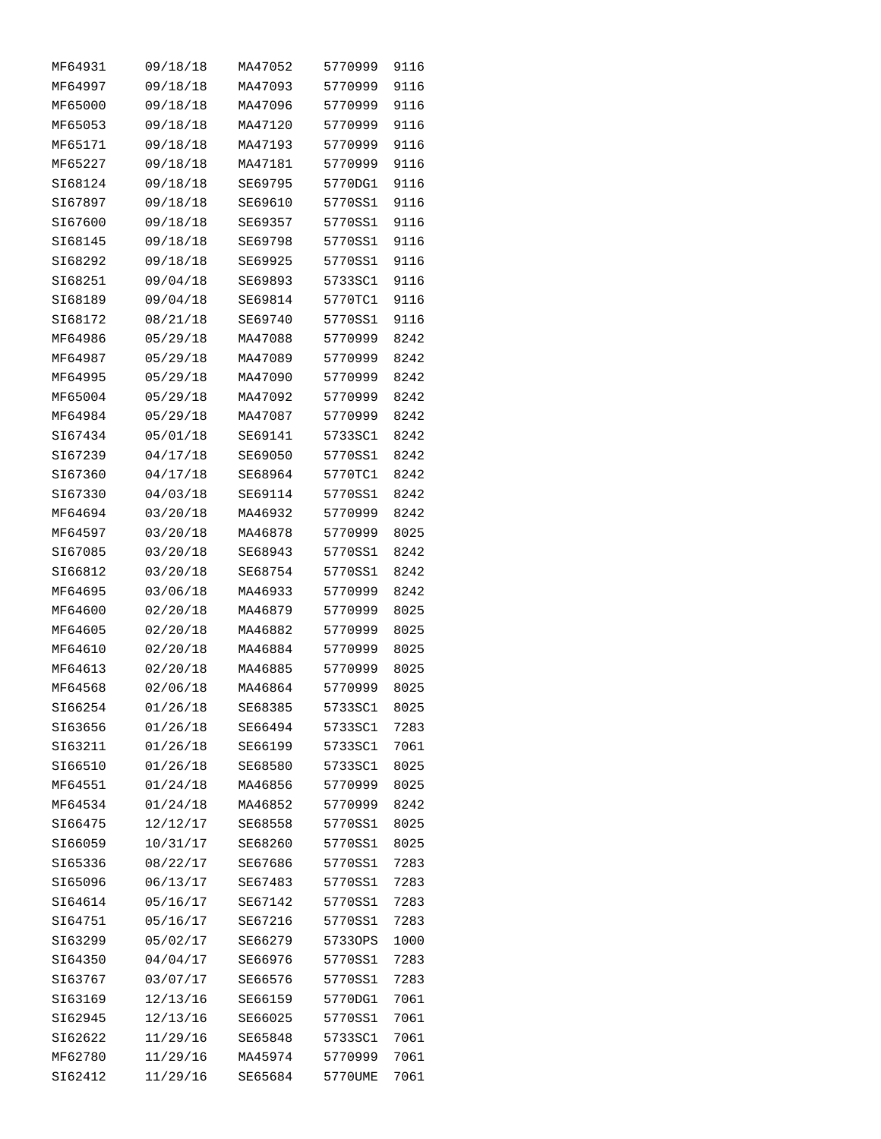| MF64931 | 09/18/18 | MA47052 | 5770999 | 9116 |
|---------|----------|---------|---------|------|
| MF64997 | 09/18/18 | MA47093 | 5770999 | 9116 |
| MF65000 | 09/18/18 | MA47096 | 5770999 | 9116 |
| MF65053 | 09/18/18 | MA47120 | 5770999 | 9116 |
| MF65171 | 09/18/18 | MA47193 | 5770999 | 9116 |
| MF65227 | 09/18/18 | MA47181 | 5770999 | 9116 |
| SI68124 | 09/18/18 | SE69795 | 5770DG1 | 9116 |
| SI67897 | 09/18/18 | SE69610 | 5770SS1 | 9116 |
| SI67600 | 09/18/18 | SE69357 | 5770SS1 | 9116 |
| SI68145 | 09/18/18 | SE69798 | 5770SS1 | 9116 |
| SI68292 | 09/18/18 | SE69925 | 5770SS1 | 9116 |
| SI68251 | 09/04/18 | SE69893 | 5733SC1 | 9116 |
| SI68189 | 09/04/18 | SE69814 | 5770TC1 | 9116 |
| SI68172 | 08/21/18 | SE69740 | 5770SS1 | 9116 |
| MF64986 | 05/29/18 | MA47088 | 5770999 | 8242 |
| MF64987 | 05/29/18 | MA47089 | 5770999 | 8242 |
| MF64995 | 05/29/18 | MA47090 | 5770999 | 8242 |
| MF65004 | 05/29/18 | MA47092 | 5770999 | 8242 |
| MF64984 | 05/29/18 | MA47087 | 5770999 | 8242 |
| SI67434 | 05/01/18 | SE69141 | 5733SC1 | 8242 |
| SI67239 | 04/17/18 | SE69050 | 5770SS1 | 8242 |
| SI67360 | 04/17/18 | SE68964 | 5770TC1 | 8242 |
| SI67330 | 04/03/18 | SE69114 | 5770SS1 | 8242 |
| MF64694 | 03/20/18 | MA46932 | 5770999 | 8242 |
| MF64597 | 03/20/18 | MA46878 | 5770999 | 8025 |
| SI67085 | 03/20/18 | SE68943 | 5770SS1 | 8242 |
| SI66812 | 03/20/18 | SE68754 | 5770SS1 | 8242 |
| MF64695 | 03/06/18 | MA46933 | 5770999 | 8242 |
| MF64600 | 02/20/18 | MA46879 | 5770999 | 8025 |
| MF64605 | 02/20/18 | MA46882 | 5770999 | 8025 |
| MF64610 | 02/20/18 | MA46884 | 5770999 | 8025 |
| MF64613 | 02/20/18 | MA46885 | 5770999 | 8025 |
| MF64568 | 02/06/18 | MA46864 | 5770999 | 8025 |
| SI66254 | 01/26/18 | SE68385 | 5733SC1 | 8025 |
| SI63656 | 01/26/18 | SE66494 | 5733SC1 | 7283 |
| SI63211 | 01/26/18 | SE66199 | 5733SC1 | 7061 |
| SI66510 | 01/26/18 | SE68580 | 5733SC1 | 8025 |
| MF64551 | 01/24/18 | MA46856 | 5770999 | 8025 |
| MF64534 | 01/24/18 | MA46852 | 5770999 | 8242 |
| SI66475 | 12/12/17 | SE68558 | 5770SS1 | 8025 |
| SI66059 | 10/31/17 | SE68260 | 5770SS1 | 8025 |
| SI65336 | 08/22/17 | SE67686 | 5770SS1 | 7283 |
| SI65096 | 06/13/17 | SE67483 | 5770SS1 | 7283 |
| SI64614 | 05/16/17 | SE67142 | 5770SS1 | 7283 |
| SI64751 | 05/16/17 | SE67216 | 5770SS1 | 7283 |
| SI63299 | 05/02/17 | SE66279 | 57330PS | 1000 |
| SI64350 | 04/04/17 | SE66976 | 5770SS1 | 7283 |
| SI63767 | 03/07/17 | SE66576 | 5770SS1 | 7283 |
| SI63169 | 12/13/16 | SE66159 | 5770DG1 | 7061 |
| SI62945 | 12/13/16 | SE66025 | 5770SS1 | 7061 |
| SI62622 | 11/29/16 | SE65848 | 5733SC1 | 7061 |
| MF62780 | 11/29/16 | MA45974 | 5770999 | 7061 |
| SI62412 | 11/29/16 | SE65684 | 5770UME | 7061 |